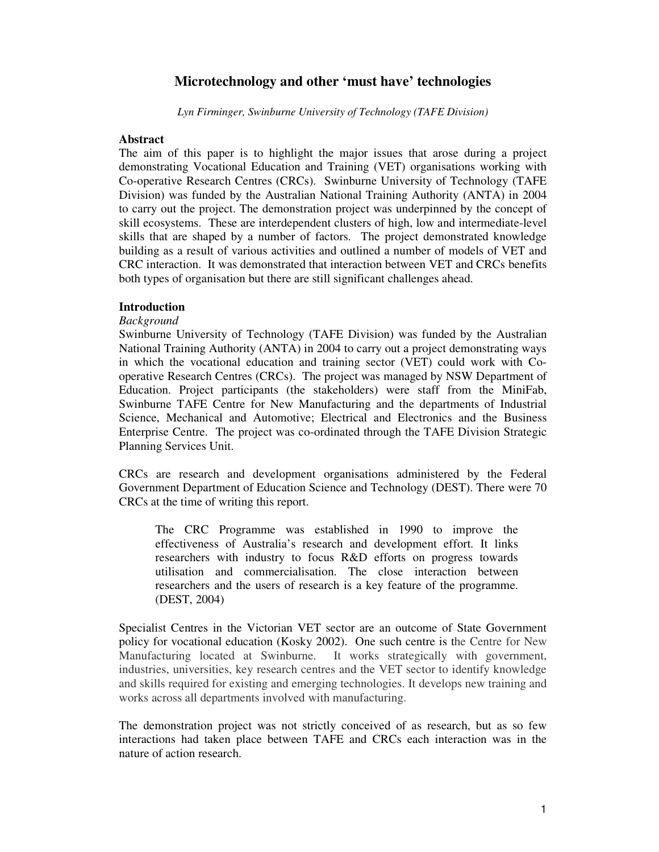# **Microtechnology and other 'must have' technologies**

*Lyn Firminger, Swinburne University of Technology (TAFE Division)*

#### **Abstract**

The aim of this paper is to highlight the major issues that arose during a project demonstrating Vocational Education and Training (VET) organisations working with Co-operative Research Centres (CRCs). Swinburne University of Technology (TAFE Division) was funded by the Australian National Training Authority (ANTA) in 2004 to carry out the project. The demonstration project was underpinned by the concept of skill ecosystems. These are interdependent clusters of high, low and intermediate-level skills that are shaped by a number of factors. The project demonstrated knowledge building as a result of various activities and outlined a number of models of VET and CRC interaction. It was demonstrated that interaction between VET and CRCs benefits both types of organisation but there are still significant challenges ahead.

### **Introduction**

### *Background*

Swinburne University of Technology (TAFE Division) was funded by the Australian National Training Authority (ANTA) in 2004 to carry out a project demonstrating ways in which the vocational education and training sector (VET) could work with Cooperative Research Centres (CRCs). The project was managed by NSW Department of Education. Project participants (the stakeholders) were staff from the MiniFab, Swinburne TAFE Centre for New Manufacturing and the departments of Industrial Science, Mechanical and Automotive; Electrical and Electronics and the Business Enterprise Centre. The project was co-ordinated through the TAFE Division Strategic Planning Services Unit.

CRCs are research and development organisations administered by the Federal Government Department of Education Science and Technology (DEST). There were 70 CRCs at the time of writing this report.

The CRC Programme was established in 1990 to improve the effectiveness of Australia's research and development effort. It links researchers with industry to focus R&D efforts on progress towards utilisation and commercialisation. The close interaction between researchers and the users of research is a key feature of the programme. (DEST, 2004)

Specialist Centres in the Victorian VET sector are an outcome of State Government policy for vocational education (Kosky 2002). One such centre is the Centre for New Manufacturing located at Swinburne. It works strategically with government, industries, universities, key research centres and the VET sector to identify knowledge and skills required for existing and emerging technologies. It develops new training and works across all departments involved with manufacturing.

The demonstration project was not strictly conceived of as research, but as so few interactions had taken place between TAFE and CRCs each interaction was in the nature of action research.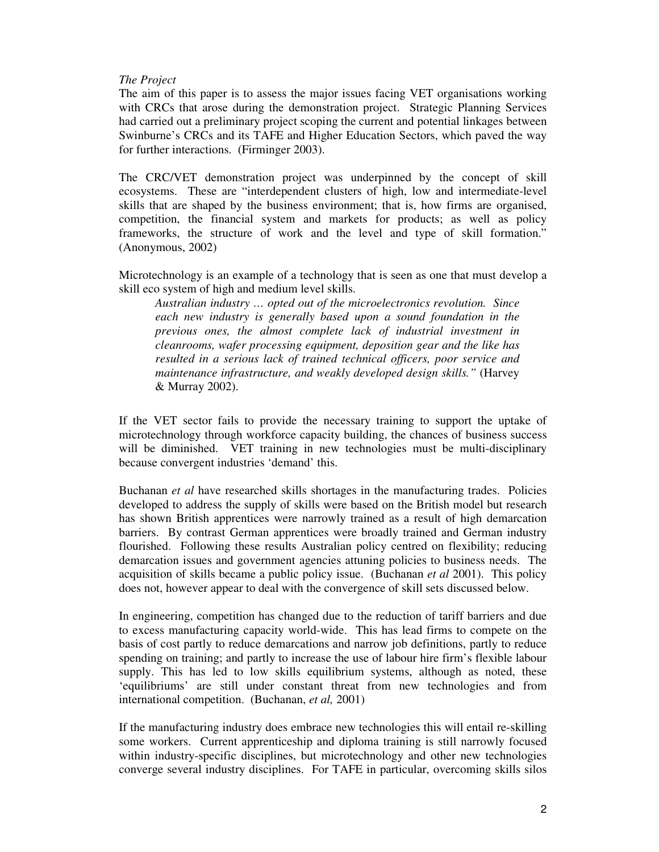### *The Project*

The aim of this paper is to assess the major issues facing VET organisations working with CRCs that arose during the demonstration project. Strategic Planning Services had carried out a preliminary project scoping the current and potential linkages between Swinburne's CRCs and its TAFE and Higher Education Sectors, which paved the way for further interactions. (Firminger 2003).

The CRC/VET demonstration project was underpinned by the concept of skill ecosystems. These are "interdependent clusters of high, low and intermediate-level skills that are shaped by the business environment; that is, how firms are organised, competition, the financial system and markets for products; as well as policy frameworks, the structure of work and the level and type of skill formation." (Anonymous, 2002)

Microtechnology is an example of a technology that is seen as one that must develop a skill eco system of high and medium level skills.

*Australian industry … opted out of the microelectronics revolution. Since each new industry is generally based upon a sound foundation in the previous ones, the almost complete lack of industrial investment in cleanrooms, wafer processing equipment, deposition gear and the like has resulted in a serious lack of trained technical officers, poor service and maintenance infrastructure, and weakly developed design skills."* (Harvey & Murray 2002).

If the VET sector fails to provide the necessary training to support the uptake of microtechnology through workforce capacity building, the chances of business success will be diminished. VET training in new technologies must be multi-disciplinary because convergent industries 'demand' this.

Buchanan *et al* have researched skills shortages in the manufacturing trades. Policies developed to address the supply of skills were based on the British model but research has shown British apprentices were narrowly trained as a result of high demarcation barriers. By contrast German apprentices were broadly trained and German industry flourished. Following these results Australian policy centred on flexibility; reducing demarcation issues and government agencies attuning policies to business needs. The acquisition of skills became a public policy issue. (Buchanan *et al* 2001). This policy does not, however appear to deal with the convergence of skill sets discussed below.

In engineering, competition has changed due to the reduction of tariff barriers and due to excess manufacturing capacity world-wide. This has lead firms to compete on the basis of cost partly to reduce demarcations and narrow job definitions, partly to reduce spending on training; and partly to increase the use of labour hire firm's flexible labour supply. This has led to low skills equilibrium systems, although as noted, these 'equilibriums' are still under constant threat from new technologies and from international competition. (Buchanan, *et al,* 2001)

If the manufacturing industry does embrace new technologies this will entail re-skilling some workers. Current apprenticeship and diploma training is still narrowly focused within industry-specific disciplines, but microtechnology and other new technologies converge several industry disciplines. For TAFE in particular, overcoming skills silos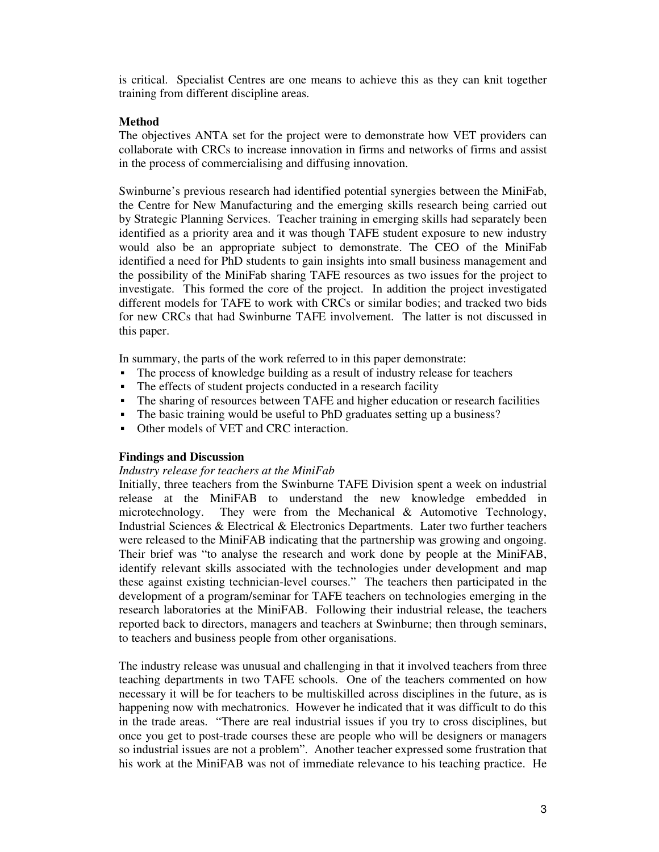is critical. Specialist Centres are one means to achieve this as they can knit together training from different discipline areas.

## **Method**

The objectives ANTA set for the project were to demonstrate how VET providers can collaborate with CRCs to increase innovation in firms and networks of firms and assist in the process of commercialising and diffusing innovation.

Swinburne's previous research had identified potential synergies between the MiniFab, the Centre for New Manufacturing and the emerging skills research being carried out by Strategic Planning Services. Teacher training in emerging skills had separately been identified as a priority area and it was though TAFE student exposure to new industry would also be an appropriate subject to demonstrate. The CEO of the MiniFab identified a need for PhD students to gain insights into small business management and the possibility of the MiniFab sharing TAFE resources as two issues for the project to investigate. This formed the core of the project. In addition the project investigated different models for TAFE to work with CRCs or similar bodies; and tracked two bids for new CRCs that had Swinburne TAFE involvement. The latter is not discussed in this paper.

In summary, the parts of the work referred to in this paper demonstrate:

- The process of knowledge building as a result of industry release for teachers
- The effects of student projects conducted in a research facility
- The sharing of resources between TAFE and higher education or research facilities
- The basic training would be useful to PhD graduates setting up a business?
- Other models of VET and CRC interaction.

## **Findings and Discussion**

#### *Industry release for teachers at the MiniFab*

Initially, three teachers from the Swinburne TAFE Division spent a week on industrial release at the MiniFAB to understand the new knowledge embedded in microtechnology. They were from the Mechanical & Automotive Technology, Industrial Sciences & Electrical & Electronics Departments. Later two further teachers were released to the MiniFAB indicating that the partnership was growing and ongoing. Their brief was "to analyse the research and work done by people at the MiniFAB, identify relevant skills associated with the technologies under development and map these against existing technician-level courses." The teachers then participated in the development of a program/seminar for TAFE teachers on technologies emerging in the research laboratories at the MiniFAB. Following their industrial release, the teachers reported back to directors, managers and teachers at Swinburne; then through seminars, to teachers and business people from other organisations.

The industry release was unusual and challenging in that it involved teachers from three teaching departments in two TAFE schools. One of the teachers commented on how necessary it will be for teachers to be multiskilled across disciplines in the future, as is happening now with mechatronics. However he indicated that it was difficult to do this in the trade areas. "There are real industrial issues if you try to cross disciplines, but once you get to post-trade courses these are people who will be designers or managers so industrial issues are not a problem". Another teacher expressed some frustration that his work at the MiniFAB was not of immediate relevance to his teaching practice. He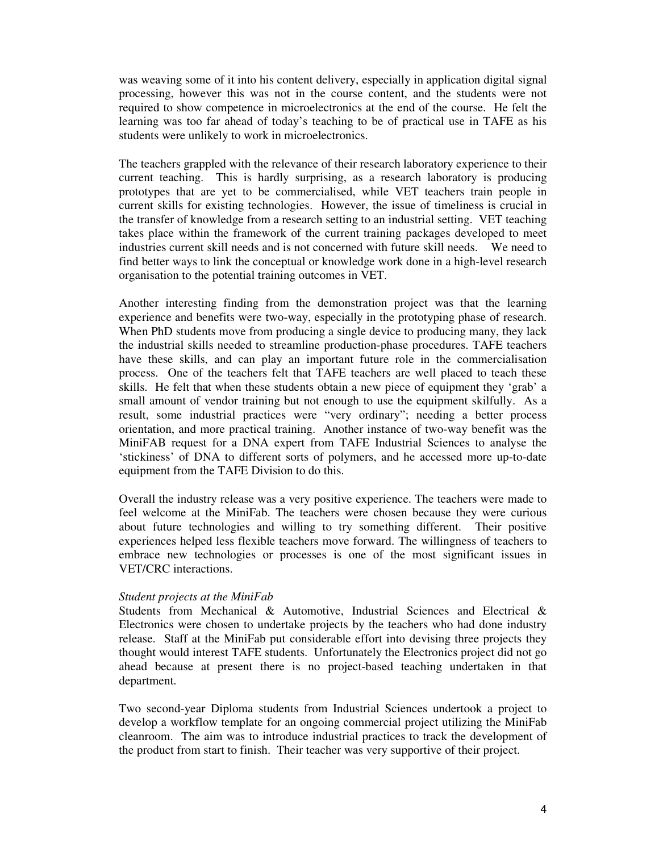was weaving some of it into his content delivery, especially in application digital signal processing, however this was not in the course content, and the students were not required to show competence in microelectronics at the end of the course. He felt the learning was too far ahead of today's teaching to be of practical use in TAFE as his students were unlikely to work in microelectronics.

The teachers grappled with the relevance of their research laboratory experience to their current teaching. This is hardly surprising, as a research laboratory is producing prototypes that are yet to be commercialised, while VET teachers train people in current skills for existing technologies. However, the issue of timeliness is crucial in the transfer of knowledge from a research setting to an industrial setting. VET teaching takes place within the framework of the current training packages developed to meet industries current skill needs and is not concerned with future skill needs. We need to find better ways to link the conceptual or knowledge work done in a high-level research organisation to the potential training outcomes in VET.

Another interesting finding from the demonstration project was that the learning experience and benefits were two-way, especially in the prototyping phase of research. When PhD students move from producing a single device to producing many, they lack the industrial skills needed to streamline production-phase procedures. TAFE teachers have these skills, and can play an important future role in the commercialisation process. One of the teachers felt that TAFE teachers are well placed to teach these skills. He felt that when these students obtain a new piece of equipment they 'grab' a small amount of vendor training but not enough to use the equipment skilfully. As a result, some industrial practices were "very ordinary"; needing a better process orientation, and more practical training. Another instance of two-way benefit was the MiniFAB request for a DNA expert from TAFE Industrial Sciences to analyse the 'stickiness' of DNA to different sorts of polymers, and he accessed more up-to-date equipment from the TAFE Division to do this.

Overall the industry release was a very positive experience. The teachers were made to feel welcome at the MiniFab. The teachers were chosen because they were curious about future technologies and willing to try something different. Their positive experiences helped less flexible teachers move forward. The willingness of teachers to embrace new technologies or processes is one of the most significant issues in VET/CRC interactions.

#### *Student projects at the MiniFab*

Students from Mechanical & Automotive, Industrial Sciences and Electrical & Electronics were chosen to undertake projects by the teachers who had done industry release. Staff at the MiniFab put considerable effort into devising three projects they thought would interest TAFE students. Unfortunately the Electronics project did not go ahead because at present there is no project-based teaching undertaken in that department.

Two second-year Diploma students from Industrial Sciences undertook a project to develop a workflow template for an ongoing commercial project utilizing the MiniFab cleanroom. The aim was to introduce industrial practices to track the development of the product from start to finish. Their teacher was very supportive of their project.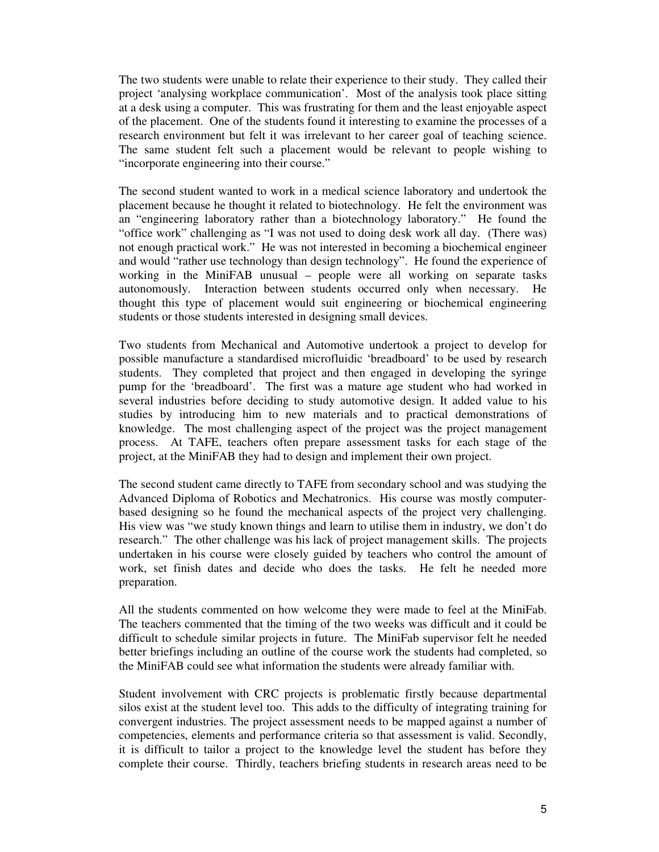The two students were unable to relate their experience to their study. They called their project 'analysing workplace communication'. Most of the analysis took place sitting at a desk using a computer. This was frustrating for them and the least enjoyable aspect of the placement. One of the students found it interesting to examine the processes of a research environment but felt it was irrelevant to her career goal of teaching science. The same student felt such a placement would be relevant to people wishing to "incorporate engineering into their course."

The second student wanted to work in a medical science laboratory and undertook the placement because he thought it related to biotechnology. He felt the environment was an "engineering laboratory rather than a biotechnology laboratory." He found the "office work" challenging as "I was not used to doing desk work all day. (There was) not enough practical work." He was not interested in becoming a biochemical engineer and would "rather use technology than design technology". He found the experience of working in the MiniFAB unusual – people were all working on separate tasks autonomously. Interaction between students occurred only when necessary. He thought this type of placement would suit engineering or biochemical engineering students or those students interested in designing small devices.

Two students from Mechanical and Automotive undertook a project to develop for possible manufacture a standardised microfluidic 'breadboard' to be used by research students. They completed that project and then engaged in developing the syringe pump for the 'breadboard'. The first was a mature age student who had worked in several industries before deciding to study automotive design. It added value to his studies by introducing him to new materials and to practical demonstrations of knowledge. The most challenging aspect of the project was the project management process. At TAFE, teachers often prepare assessment tasks for each stage of the project, at the MiniFAB they had to design and implement their own project.

The second student came directly to TAFE from secondary school and was studying the Advanced Diploma of Robotics and Mechatronics. His course was mostly computerbased designing so he found the mechanical aspects of the project very challenging. His view was "we study known things and learn to utilise them in industry, we don't do research." The other challenge was his lack of project management skills. The projects undertaken in his course were closely guided by teachers who control the amount of work, set finish dates and decide who does the tasks. He felt he needed more preparation.

All the students commented on how welcome they were made to feel at the MiniFab. The teachers commented that the timing of the two weeks was difficult and it could be difficult to schedule similar projects in future. The MiniFab supervisor felt he needed better briefings including an outline of the course work the students had completed, so the MiniFAB could see what information the students were already familiar with.

Student involvement with CRC projects is problematic firstly because departmental silos exist at the student level too. This adds to the difficulty of integrating training for convergent industries. The project assessment needs to be mapped against a number of competencies, elements and performance criteria so that assessment is valid. Secondly, it is difficult to tailor a project to the knowledge level the student has before they complete their course. Thirdly, teachers briefing students in research areas need to be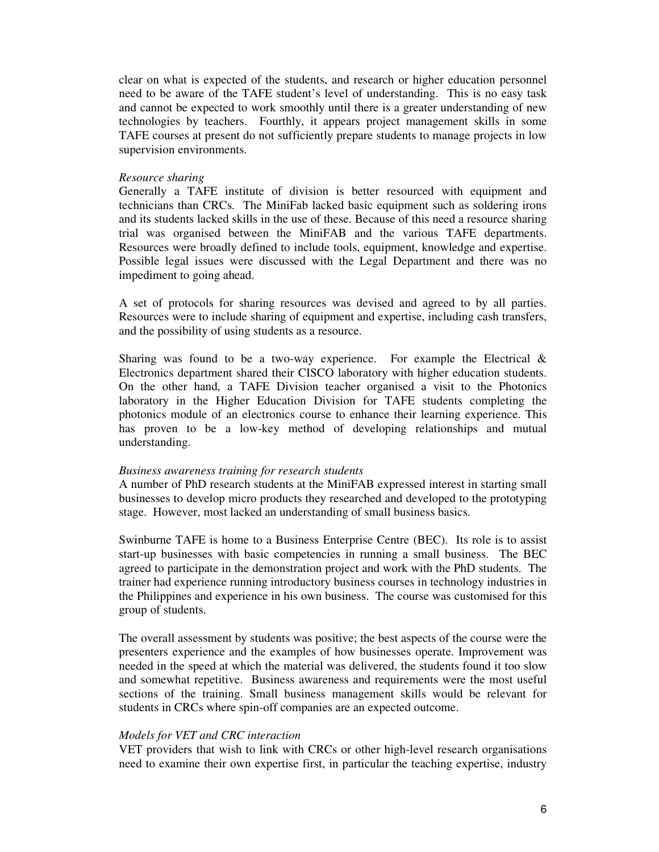clear on what is expected of the students, and research or higher education personnel need to be aware of the TAFE student's level of understanding. This is no easy task and cannot be expected to work smoothly until there is a greater understanding of new technologies by teachers. Fourthly, it appears project management skills in some TAFE courses at present do not sufficiently prepare students to manage projects in low supervision environments.

#### *Resource sharing*

Generally a TAFE institute of division is better resourced with equipment and technicians than CRCs. The MiniFab lacked basic equipment such as soldering irons and its students lacked skills in the use of these. Because of this need a resource sharing trial was organised between the MiniFAB and the various TAFE departments. Resources were broadly defined to include tools, equipment, knowledge and expertise. Possible legal issues were discussed with the Legal Department and there was no impediment to going ahead.

A set of protocols for sharing resources was devised and agreed to by all parties. Resources were to include sharing of equipment and expertise, including cash transfers, and the possibility of using students as a resource.

Sharing was found to be a two-way experience. For example the Electrical  $\&$ Electronics department shared their CISCO laboratory with higher education students. On the other hand, a TAFE Division teacher organised a visit to the Photonics laboratory in the Higher Education Division for TAFE students completing the photonics module of an electronics course to enhance their learning experience. This has proven to be a low-key method of developing relationships and mutual understanding.

#### *Business awareness training for research students*

A number of PhD research students at the MiniFAB expressed interest in starting small businesses to develop micro products they researched and developed to the prototyping stage. However, most lacked an understanding of small business basics.

Swinburne TAFE is home to a Business Enterprise Centre (BEC). Its role is to assist start-up businesses with basic competencies in running a small business. The BEC agreed to participate in the demonstration project and work with the PhD students. The trainer had experience running introductory business courses in technology industries in the Philippines and experience in his own business. The course was customised for this group of students.

The overall assessment by students was positive; the best aspects of the course were the presenters experience and the examples of how businesses operate. Improvement was needed in the speed at which the material was delivered, the students found it too slow and somewhat repetitive. Business awareness and requirements were the most useful sections of the training. Small business management skills would be relevant for students in CRCs where spin-off companies are an expected outcome.

#### *Models for VET and CRC interaction*

VET providers that wish to link with CRCs or other high-level research organisations need to examine their own expertise first, in particular the teaching expertise, industry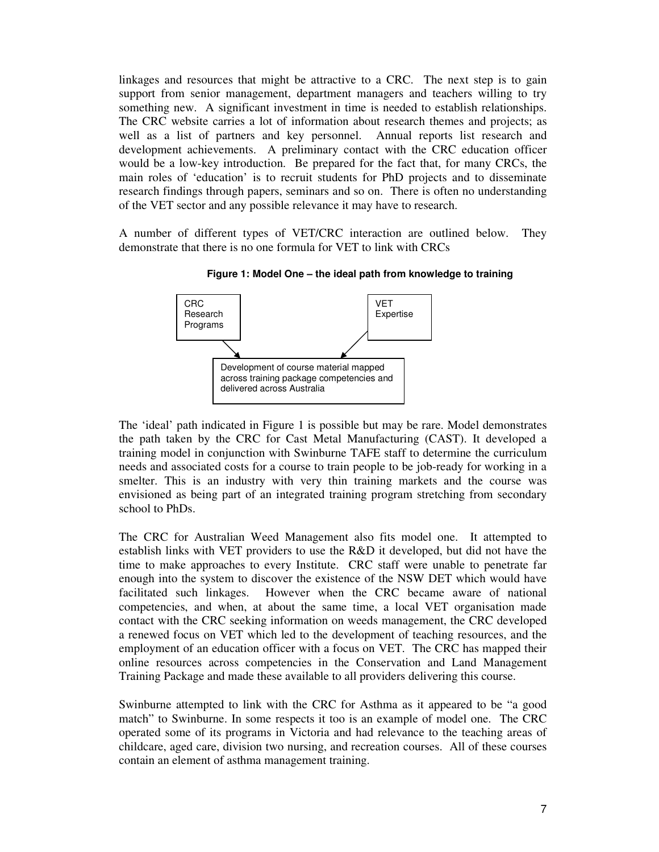linkages and resources that might be attractive to a CRC. The next step is to gain support from senior management, department managers and teachers willing to try something new. A significant investment in time is needed to establish relationships. The CRC website carries a lot of information about research themes and projects; as well as a list of partners and key personnel. Annual reports list research and development achievements. A preliminary contact with the CRC education officer would be a low-key introduction. Be prepared for the fact that, for many CRCs, the main roles of 'education' is to recruit students for PhD projects and to disseminate research findings through papers, seminars and so on. There is often no understanding of the VET sector and any possible relevance it may have to research.

A number of different types of VET/CRC interaction are outlined below. They demonstrate that there is no one formula for VET to link with CRCs



**Figure 1: Model One – the ideal path from knowledge to training**

The 'ideal' path indicated in Figure 1 is possible but may be rare. Model demonstrates the path taken by the CRC for Cast Metal Manufacturing (CAST). It developed a training model in conjunction with Swinburne TAFE staff to determine the curriculum needs and associated costs for a course to train people to be job-ready for working in a smelter. This is an industry with very thin training markets and the course was envisioned as being part of an integrated training program stretching from secondary school to PhDs.

The CRC for Australian Weed Management also fits model one. It attempted to establish links with VET providers to use the R&D it developed, but did not have the time to make approaches to every Institute. CRC staff were unable to penetrate far enough into the system to discover the existence of the NSW DET which would have facilitated such linkages. However when the CRC became aware of national competencies, and when, at about the same time, a local VET organisation made contact with the CRC seeking information on weeds management, the CRC developed a renewed focus on VET which led to the development of teaching resources, and the employment of an education officer with a focus on VET. The CRC has mapped their online resources across competencies in the Conservation and Land Management Training Package and made these available to all providers delivering this course.

Swinburne attempted to link with the CRC for Asthma as it appeared to be "a good match" to Swinburne. In some respects it too is an example of model one. The CRC operated some of its programs in Victoria and had relevance to the teaching areas of childcare, aged care, division two nursing, and recreation courses. All of these courses contain an element of asthma management training.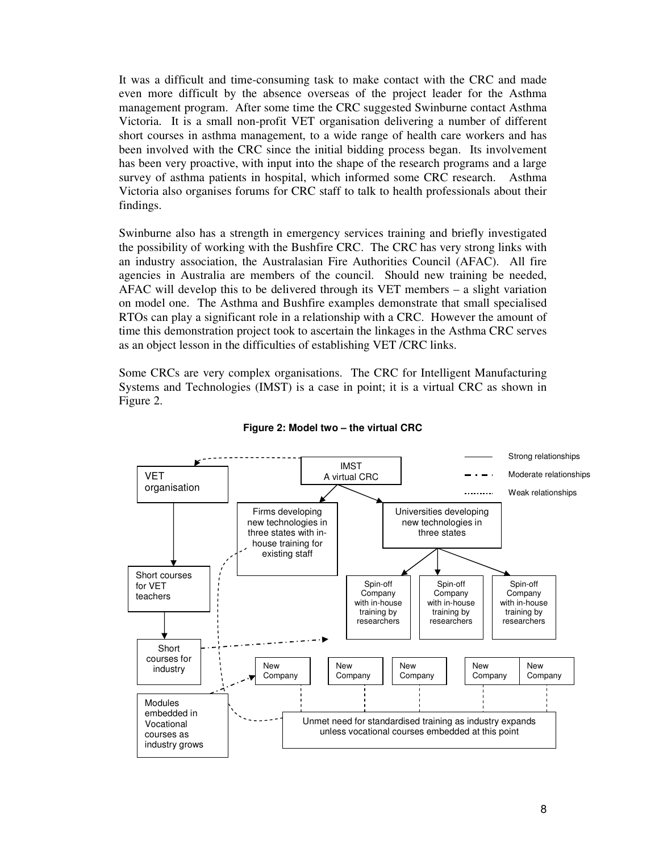It was a difficult and time-consuming task to make contact with the CRC and made even more difficult by the absence overseas of the project leader for the Asthma management program. After some time the CRC suggested Swinburne contact Asthma Victoria. It is a small non-profit VET organisation delivering a number of different short courses in asthma management, to a wide range of health care workers and has been involved with the CRC since the initial bidding process began. Its involvement has been very proactive, with input into the shape of the research programs and a large survey of asthma patients in hospital, which informed some CRC research. Asthma Victoria also organises forums for CRC staff to talk to health professionals about their findings.

Swinburne also has a strength in emergency services training and briefly investigated the possibility of working with the Bushfire CRC. The CRC has very strong links with an industry association, the Australasian Fire Authorities Council (AFAC). All fire agencies in Australia are members of the council. Should new training be needed, AFAC will develop this to be delivered through its VET members – a slight variation on model one. The Asthma and Bushfire examples demonstrate that small specialised RTOs can play a significant role in a relationship with a CRC. However the amount of time this demonstration project took to ascertain the linkages in the Asthma CRC serves as an object lesson in the difficulties of establishing VET /CRC links.

Some CRCs are very complex organisations. The CRC for Intelligent Manufacturing Systems and Technologies (IMST) is a case in point; it is a virtual CRC as shown in Figure 2.



#### **Figure 2: Model two – the virtual CRC**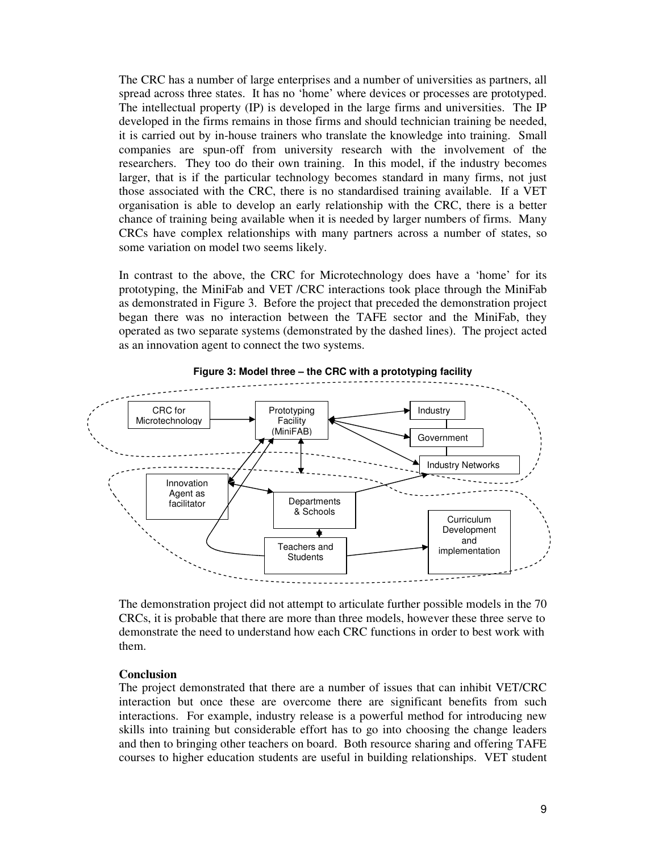The CRC has a number of large enterprises and a number of universities as partners, all spread across three states. It has no 'home' where devices or processes are prototyped. The intellectual property (IP) is developed in the large firms and universities. The IP developed in the firms remains in those firms and should technician training be needed, it is carried out by in-house trainers who translate the knowledge into training. Small companies are spun-off from university research with the involvement of the researchers. They too do their own training. In this model, if the industry becomes larger, that is if the particular technology becomes standard in many firms, not just those associated with the CRC, there is no standardised training available. If a VET organisation is able to develop an early relationship with the CRC, there is a better chance of training being available when it is needed by larger numbers of firms. Many CRCs have complex relationships with many partners across a number of states, so some variation on model two seems likely.

In contrast to the above, the CRC for Microtechnology does have a 'home' for its prototyping, the MiniFab and VET /CRC interactions took place through the MiniFab as demonstrated in Figure 3. Before the project that preceded the demonstration project began there was no interaction between the TAFE sector and the MiniFab, they operated as two separate systems (demonstrated by the dashed lines). The project acted as an innovation agent to connect the two systems.



**Figure 3: Model three – the CRC with a prototyping facility**

The demonstration project did not attempt to articulate further possible models in the 70 CRCs, it is probable that there are more than three models, however these three serve to demonstrate the need to understand how each CRC functions in order to best work with them.

#### **Conclusion**

The project demonstrated that there are a number of issues that can inhibit VET/CRC interaction but once these are overcome there are significant benefits from such interactions. For example, industry release is a powerful method for introducing new skills into training but considerable effort has to go into choosing the change leaders and then to bringing other teachers on board. Both resource sharing and offering TAFE courses to higher education students are useful in building relationships. VET student